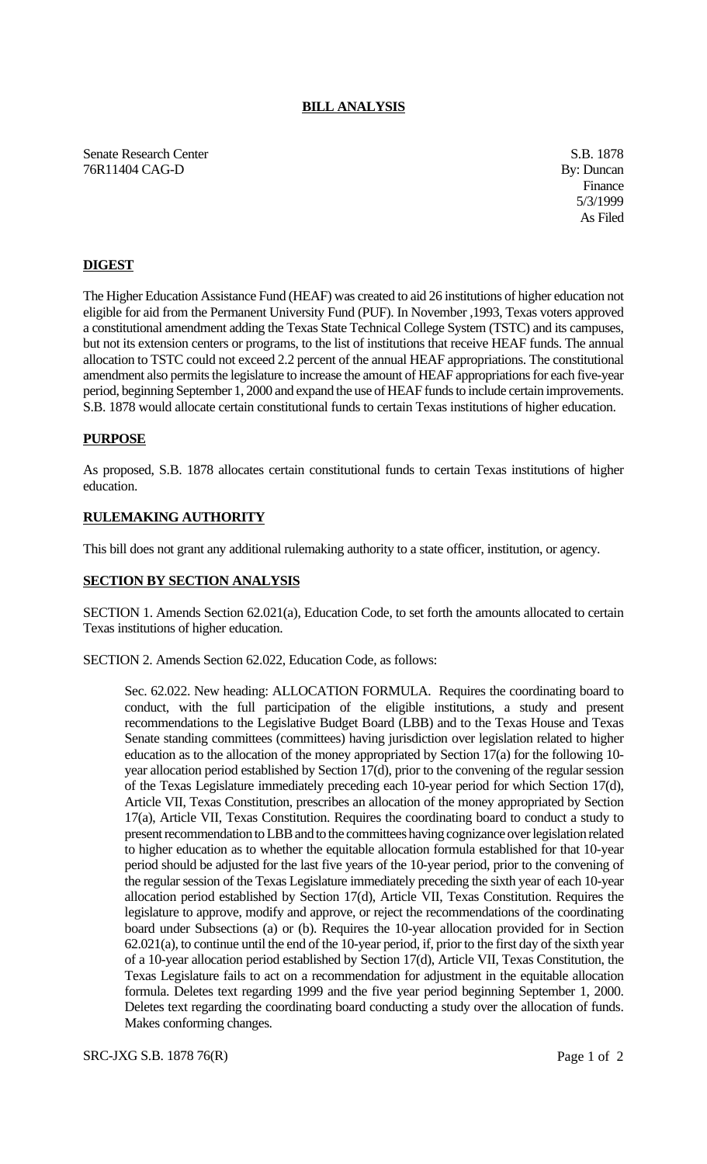# **BILL ANALYSIS**

Senate Research Center S.B. 1878 76R11404 CAG-D By: Duncan

Finance 5/3/1999 As Filed

## **DIGEST**

The Higher Education Assistance Fund (HEAF) was created to aid 26 institutions of higher education not eligible for aid from the Permanent University Fund (PUF). In November ,1993, Texas voters approved a constitutional amendment adding the Texas State Technical College System (TSTC) and its campuses, but not its extension centers or programs, to the list of institutions that receive HEAF funds. The annual allocation to TSTC could not exceed 2.2 percent of the annual HEAF appropriations. The constitutional amendment also permits the legislature to increase the amount of HEAF appropriations for each five-year period, beginning September 1, 2000 and expand the use of HEAF funds to include certain improvements. S.B. 1878 would allocate certain constitutional funds to certain Texas institutions of higher education.

### **PURPOSE**

As proposed, S.B. 1878 allocates certain constitutional funds to certain Texas institutions of higher education.

## **RULEMAKING AUTHORITY**

This bill does not grant any additional rulemaking authority to a state officer, institution, or agency.

#### **SECTION BY SECTION ANALYSIS**

SECTION 1. Amends Section 62.021(a), Education Code, to set forth the amounts allocated to certain Texas institutions of higher education.

SECTION 2. Amends Section 62.022, Education Code, as follows:

Sec. 62.022. New heading: ALLOCATION FORMULA. Requires the coordinating board to conduct, with the full participation of the eligible institutions, a study and present recommendations to the Legislative Budget Board (LBB) and to the Texas House and Texas Senate standing committees (committees) having jurisdiction over legislation related to higher education as to the allocation of the money appropriated by Section 17(a) for the following 10 year allocation period established by Section 17(d), prior to the convening of the regular session of the Texas Legislature immediately preceding each 10-year period for which Section 17(d), Article VII, Texas Constitution, prescribes an allocation of the money appropriated by Section 17(a), Article VII, Texas Constitution. Requires the coordinating board to conduct a study to present recommendation to LBB and to the committees having cognizance over legislation related to higher education as to whether the equitable allocation formula established for that 10-year period should be adjusted for the last five years of the 10-year period, prior to the convening of the regular session of the Texas Legislature immediately preceding the sixth year of each 10-year allocation period established by Section 17(d), Article VII, Texas Constitution. Requires the legislature to approve, modify and approve, or reject the recommendations of the coordinating board under Subsections (a) or (b). Requires the 10-year allocation provided for in Section 62.021(a), to continue until the end of the 10-year period, if, prior to the first day of the sixth year of a 10-year allocation period established by Section 17(d), Article VII, Texas Constitution, the Texas Legislature fails to act on a recommendation for adjustment in the equitable allocation formula. Deletes text regarding 1999 and the five year period beginning September 1, 2000. Deletes text regarding the coordinating board conducting a study over the allocation of funds. Makes conforming changes.

SRC-JXG S.B. 1878 76(R) Page 1 of 2